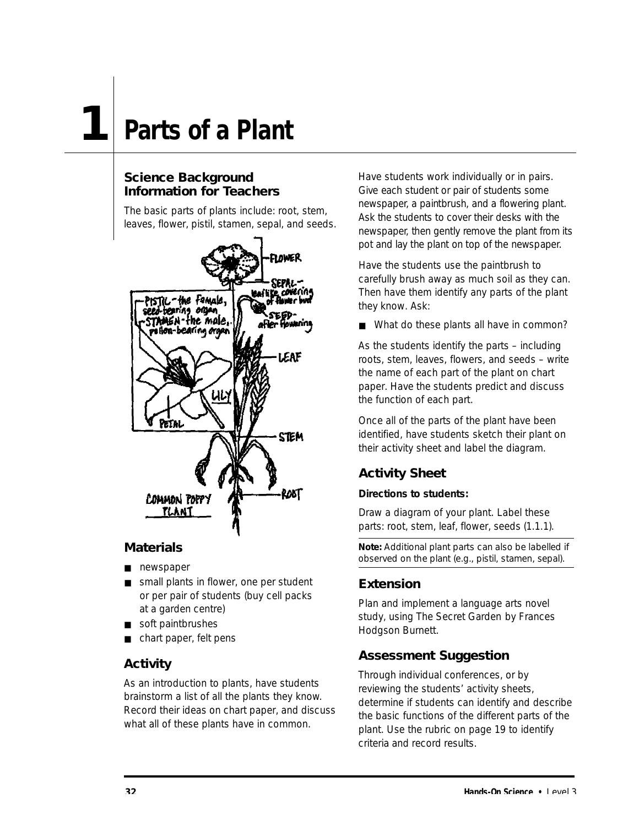### **1 Parts of a Plant**

### **Science Background Information for Teachers**

The basic parts of plants include: root, stem, leaves, flower, pistil, stamen, sepal, and seeds.



### **Materials**

- newspaper
- small plants in flower, one per student or per pair of students (buy cell packs at a garden centre)
- soft paintbrushes
- chart paper, felt pens

### **Activity**

As an introduction to plants, have students brainstorm a list of all the plants they know. Record their ideas on chart paper, and discuss what all of these plants have in common.

Have students work individually or in pairs. Give each student or pair of students some new spaper, a paintbrush, and a flowering plant. Ask the students to cover their desks with the new spaper, then gently remove the plant from its pot and lay the plant on top of the newspaper.

Have the students use the paintbrush to carefully brush away as much soil as they can. Then have them identify any parts of the plant they know. Ask:

■ What do these plants all have in common?

As the students identify the parts – including roots, stem, leaves, flowers, and seeds – write the name of each part of the plant on chart paper. Have the students predict and discuss the function of each part.

Once all of the parts of the plant have been identified, have students sketch their plant on their activity sheet and label the diagram.

### **Activity Sheet**

### **Directions to students:**

Draw a diagram of your plant. Label these parts: root, stem, leaf, flower, seeds (1.1.1).

**Note:** Additional plant parts can also be labelled if observed on the plant (e.g., pistil, stamen, sepal).

### **Extension**

Plan and implement a language arts novel study, using *The Secret Garden* by Frances Hodgson Burnett.

### **Assessment Suggestion**

Through individual conferences, or by reviewing the students' activity sheets, determine if students can identify and describe the basic functions of the different parts of the plant. Use the rubric on page 19 to identify criteria and record results.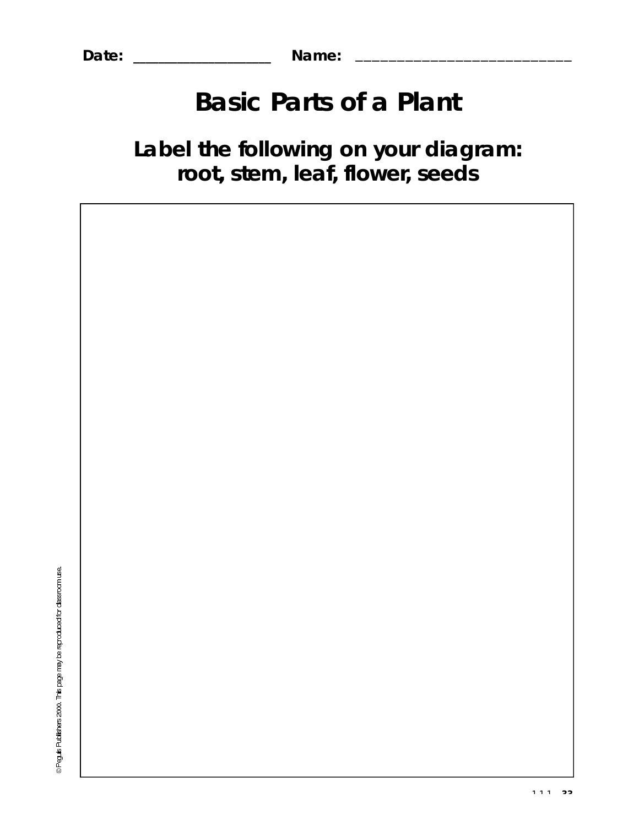Date:

@ Peguis Publishers 2000. This page may be reproduced for dassroom use.

Name:

## **Basic Parts of a Plant**

### Label the following on your diagram: root, stem, leaf, flower, seeds

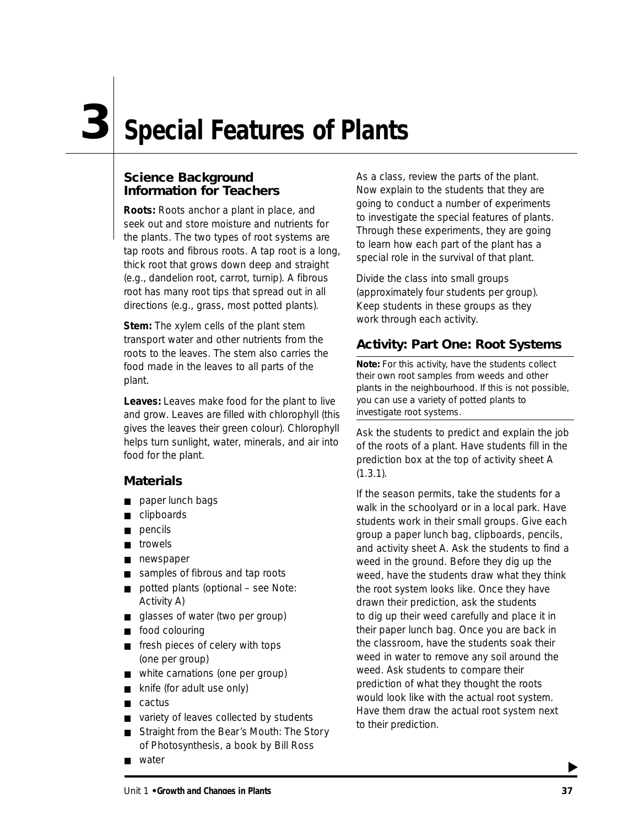## **Special Features of Plants 3**

### **Science Background Information for Teachers**

**Roots:** Roots anchor a plant in place, and seek out and store moisture and nutrients for the plants. The two types of root systems are tap roots and fibrous roots. A tap root is a long, thick root that grows down deep and straight (e.g., dandelion root, carrot, turnip). A fibrous root has many root tips that spread out in all directions (e.g., grass, most potted plants).

**Stem:** The xylem cells of the plant stem transport water and other nutrients from the roots to the leaves. The stem also carries the food made in the leaves to all parts of the plant.

**Leaves:** Leaves make food for the plant to live and grow. Leaves are filled with chlorophyll (this gives the leaves their green colour). Chlorophyll helps turn sunlight, water, minerals, and air into food for the plant.

### **Materials**

- paper lunch bags
- clipboards
- pencils
- trowels
- newspaper
- samples of fibrous and tap roots
- potted plants (optional see Note: Activity A)
- glasses of water (two per group)
- food colouring
- fresh pieces of celery with tops (one per group)
- white carnations (one per group)
- knife (for adult use only)
- cactus
- variety of leaves collected by students
- *Straight from the Bear's Mouth: The Story of Photosynthesis*, a book by Bill Ross
- water

As a class, review the parts of the plant. Now explain to the students that they are going to conduct a number of experiments to investigate the special features of plants. Through these experiments, they are going to learn how each part of the plant has a special role in the survival of that plant.

Divide the class into small groups (approximately four students per group). Keep students in these groups as they work through each activity.

### **Activity: Part One: Root Systems**

Note: For this activity, have the students collect their own root samples from weeds and other plants in the neighbourhood. If this is not possible, you can use a variety of potted plants to investigate root systems.

Ask the students to predict and explain the job of the roots of a plant. Have students fill in the prediction box at the top of activity sheet A  $(1.3.1)$ .

If the season permits, take the students for a walk in the schoolyard or in a local park. Have students work in their small groups. Give each group a paper lunch bag, clipboards, pencils, and activity sheet A. Ask the students to find a weed in the ground. Before they dig up the weed, have the students draw what they think the root system looks like. Once they have drawn their prediction, ask the students to dig up their weed carefully and place it in their paper lunch bag. Once you are back in the classroom, have the students soak their weed in water to remove any soil around the weed. Ask students to compare their prediction of what they thought the roots would look like with the actual root system. Have them draw the actual root system next to their prediction.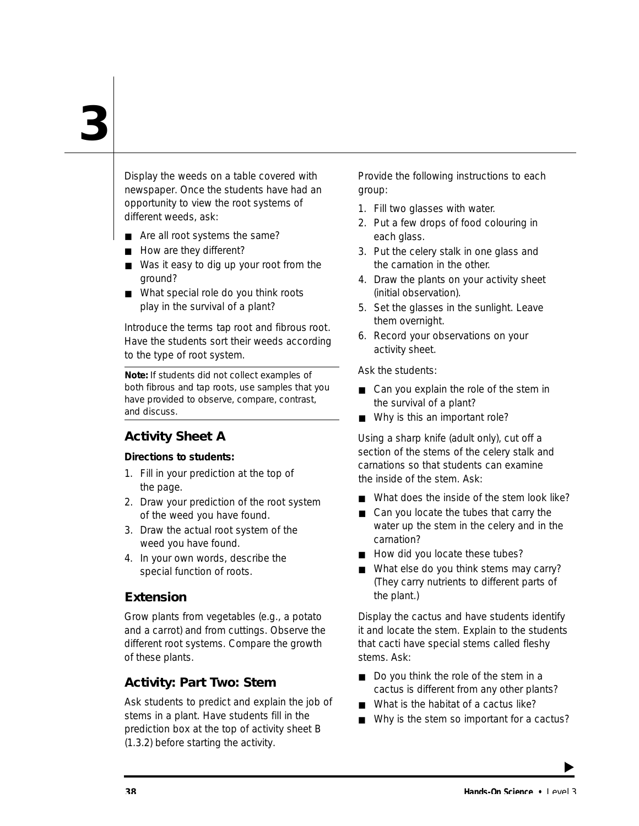Display the weeds on a table covered with newspaper. Once the students have had an opportunity to view the root systems of different weeds, ask:

- Are all root systems the same?
- How are they different?
- Was it easy to dig up your root from the ground?
- What special role do you think roots play in the survival of a plant?

Introduce the terms *tap root* and *fibrous root*. Have the students sort their weeds according to the type of root system.

Note: If students did not collect examples of both fibrous and tap roots, use samples that you have provided to observe, compare, contrast, and discuss.

### **Activity Sheet A**

#### **Directions to students:**

- 1. Fill in your prediction at the top of the page.
- 2. Draw your prediction of the root system of the weed you have found.
- 3. Draw the actual root system of the weed you have found.
- 4. In your own words, describe the special function of roots.

### **Extension**

Grow plants from vegetables (e.g., a potato and a carrot) and from cuttings. Observe the different root systems. Compare the growth of these plants.

### **Activity: Part Two: Stem**

Ask students to predict and explain the job of stems in a plant. Have students fill in the prediction box at the top of activity sheet B (1.3.2) before starting the activity.

Provide the following instructions to each group:

- 1. Fill two glasses with water.
- 2. Put a few drops of food colouring in each glass.
- 3. Put the celery stalk in one glass and the carnation in the other.
- 4. Draw the plants on your activity sheet (initial observation).
- 5. Set the glasses in the sunlight. Leave them overnight.
- 6. Record your observations on your activity sheet.

Ask the students:

- Can you explain the role of the stem in the survival of a plant?
- Why is this an important role?

Using a sharp knife (adult only), cut off a section of the stems of the celery stalk and carnations so that students can examine the inside of the stem. Ask:

- What does the inside of the stem look like?
- Can you locate the tubes that carry the water up the stem in the celery and in the carnation?
- How did you locate these tubes?
- What else do you think stems may carry? (They carry nutrients to different parts of the plant.)

Display the cactus and have students identify it and locate the stem. Explain to the students that cacti have special stems called fleshy stems. Ask:

- Do you think the role of the stem in a cactus is different from any other plants?
- What is the habitat of a cactus like?
- Why is the stem so important for a cactus?

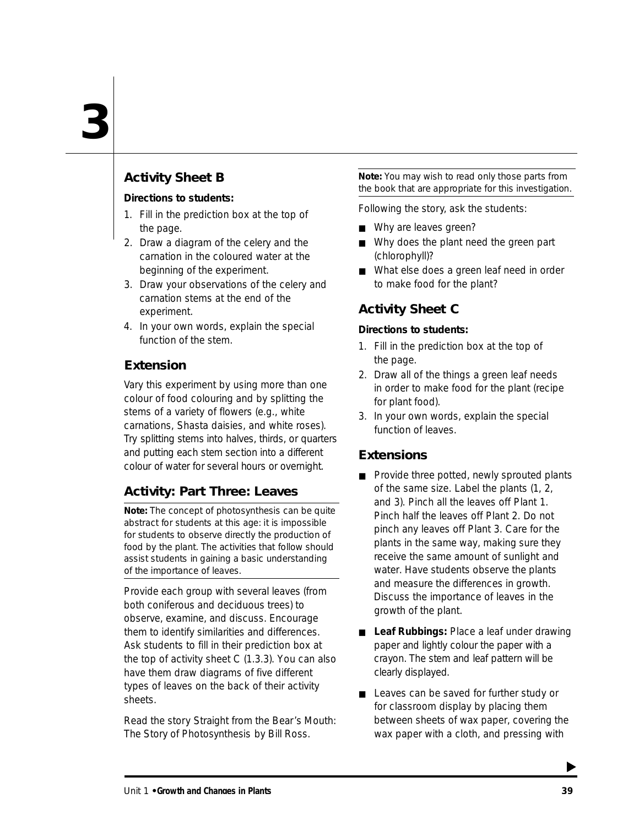### **Activity Sheet B**

#### **Directions to students:**

- 1. Fill in the prediction box at the top of the page.
- 2. Draw a diagram of the celery and the carnation in the coloured water at the beginning of the experiment.
- 3. Draw your observations of the celery and carnation stems at the end of the experiment.
- 4. In your own words, explain the special function of the stem.

### **Extension**

Vary this experiment by using more than one colour of food colouring and by splitting the stems of a variety of flowers (e.g., white carnations, Shasta daisies, and white roses). Try splitting stems into halves, thirds, or quarters and putting each stem section into a different colour of water for several hours or overnight.

### **Activity: Part Three: Leaves**

Note: The concept of photosynthesis can be quite abstract for students at this age: it is impossible for students to observe directly the production of food by the plant. The activities that follow should assist students in gaining a basic understanding of the importance of leaves.

Provide each group with several leaves (from both coniferous and deciduous trees) to observe, examine, and discuss. Encourage them to identify similarities and differences. Ask students to fill in their prediction box at the top of activity sheet C (1.3.3). You can also have them draw diagrams of five different types of leaves on the back of their activity sheets.

Read the story *Straight from the Bear's Mouth: The Story of Photosynthesis* by Bill Ross.

Note: You may wish to read only those parts from the book that are appropriate for this investigation.

Following the story, ask the students:

- Why are leaves green?
- Why does the plant need the green part (chlorophyll)?
- What else does a green leaf need in order to make food for the plant?

### **Activity Sheet C**

### **Directions to students:**

- 1. Fill in the prediction box at the top of the page.
- 2. Draw all of the things a green leaf needs in order to make food for the plant (recipe for plant food).
- 3. In your own words, explain the special function of leaves.

### **Extensions**

- Provide three potted, newly sprouted plants of the same size. Label the plants (1, 2, and 3). Pinch all the leaves off Plant 1. Pinch half the leaves off Plant 2. Do not pinch any leaves off Plant 3. Care for the plants in the same way, making sure they receive the same amount of sunlight and water. Have students observe the plants and measure the differences in growth. Discuss the importance of leaves in the growth of the plant.
- **Leaf Rubbings: Place a leaf under drawing** paper and lightly colour the paper with a crayon. The stem and leaf pattern will be clearly displayed.
- Leaves can be saved for further study or for classroom display by placing them between sheets of wax paper, covering the wax paper with a cloth, and pressing with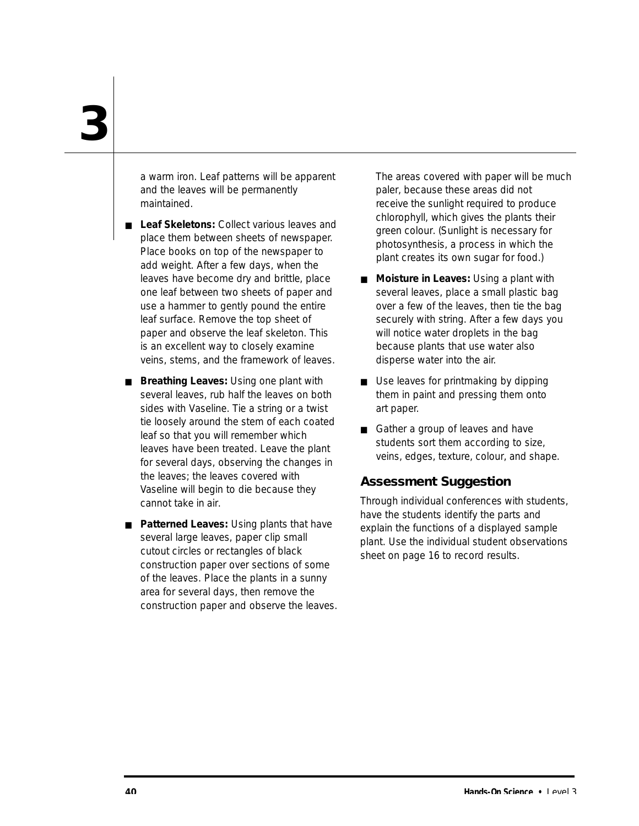a warm iron. Leaf patterns will be apparent and the leaves will be permanently maintained.

- **Leaf Skeletons: Collect various leaves and** place them between sheets of newspaper. Place books on top of the newspaper to add weight. After a few days, when the leaves have become dry and brittle, place one leaf between two sheets of paper and use a hammer to gently pound the entire leaf surface. Remove the top sheet of paper and observe the leaf skeleton. This is an excellent way to closely examine veins, stems, and the framework of leaves.
- **Breathing Leaves: Using one plant with** several leaves, rub half the leaves on both sides with Vaseline. Tie a string or a twist tie loosely around the stem of each coated leaf so that you will remember which leaves have been treated. Leave the plant for several days, observing the changes in the leaves; the leaves covered with Vaseline will begin to die because they cannot take in air.
- **Patterned Leaves:** Using plants that have several large leaves, paper clip small cutout circles or rectangles of black construction paper over sections of some of the leaves. Place the plants in a sunny area for several days, then remove the construction paper and observe the leaves.

The areas covered with paper will be much paler, because these areas did not receive the sunlight required to produce chlorophyll, which gives the plants their green colour. (Sunlight is necessary for photosynthesis, a process in which the plant creates its own sugar for food.)

- **Moisture in Leaves: Using a plant with** several leaves, place a small plastic bag over a few of the leaves, then tie the bag securely with string. After a few days you will notice water droplets in the bag because plants that use water also disperse water into the air.
- Use leaves for printmaking by dipping them in paint and pressing them onto art paper.
- Gather a group of leaves and have students sort them according to size, veins, edges, texture, colour, and shape.

### **Assessment Suggestion**

Through individual conferences with students, have the students identify the parts and explain the functions of a displayed sample plant. Use the individual student observations sheet on page 16 to record results.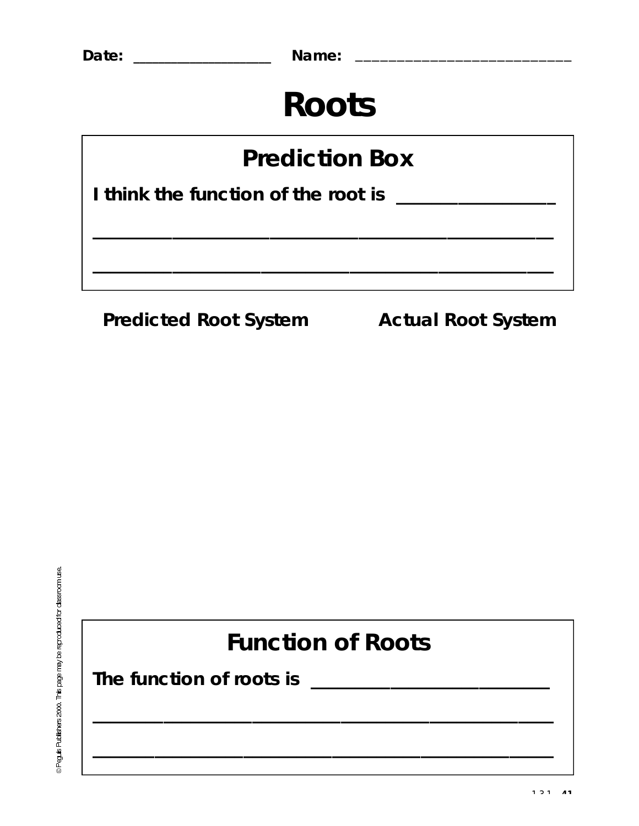## **Roots**

## **Prediction Box**

I think the function of the root is \_\_\_\_\_\_\_\_\_\_\_\_\_\_\_\_\_

**Predicted Root System Actual Root System** 

@ Peguis Publishers 2000. This page may be reproduced for classroom use.

## **Function of Roots**

<u> 1989 - Johann John Stein, mars ar yw 1990 - Amerikan y ddysgwydd y 1990 - Amerikan y ddysgwydd y 1990 - Amerika</u>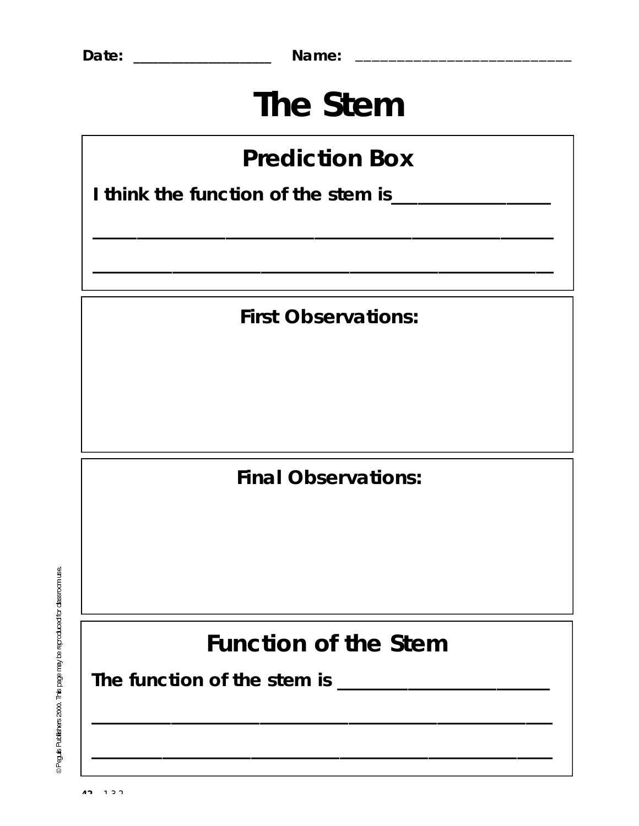**Date: \_\_\_\_\_\_\_\_\_\_\_\_\_\_\_\_\_\_\_\_\_\_ Name:** \_\_\_\_\_\_\_\_\_\_\_\_\_\_\_\_\_\_\_\_\_\_\_\_\_\_

## **The Stem**

## **Prediction Box**

**\_\_\_\_\_\_\_\_\_\_\_\_\_\_\_\_\_\_\_\_\_\_\_\_\_\_\_\_\_\_\_\_\_\_\_\_\_\_\_\_\_\_\_\_\_\_\_\_\_\_\_\_**

**\_\_\_\_\_\_\_\_\_\_\_\_\_\_\_\_\_\_\_\_\_\_\_\_\_\_\_\_\_\_\_\_\_\_\_\_\_\_\_\_\_\_\_\_\_\_\_\_\_\_\_\_**

**I think the function of the stem is\_\_\_\_\_\_\_\_\_\_\_\_\_\_\_\_\_\_**

**First Observations:**

**Final Observations:**

@ Peguis Publishers 2000. This page may be reproduced for classroom use.

**Function of the Stem**

**\_\_\_\_\_\_\_\_\_\_\_\_\_\_\_\_\_\_\_\_\_\_\_\_\_\_\_\_\_\_\_\_\_\_\_\_\_\_\_\_\_\_\_\_\_\_\_\_\_\_\_\_**

**\_\_\_\_\_\_\_\_\_\_\_\_\_\_\_\_\_\_\_\_\_\_\_\_\_\_\_\_\_\_\_\_\_\_\_\_\_\_\_\_\_\_\_\_\_\_\_\_\_\_\_\_**

**The function of the stem is \_\_\_\_\_\_\_\_\_\_\_\_\_\_\_\_\_\_\_\_\_\_\_\_**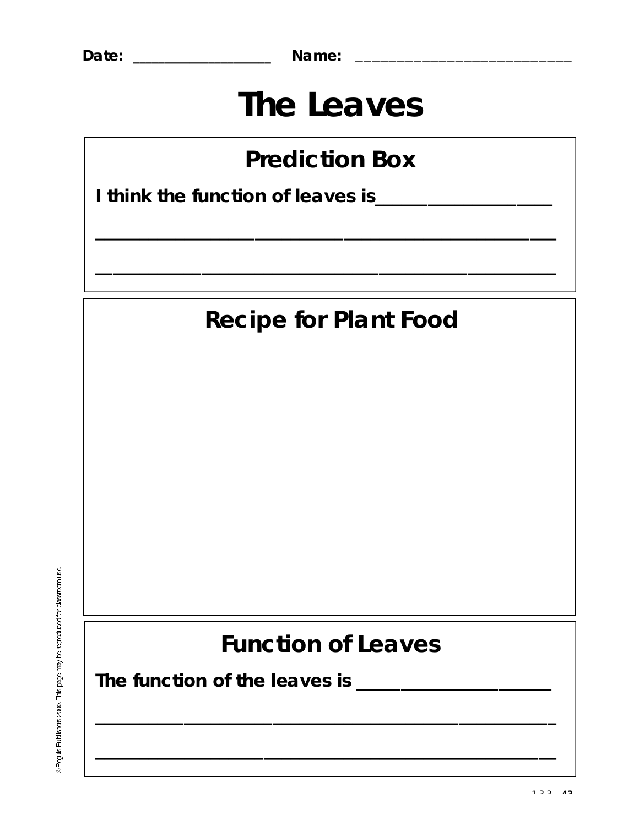Name: \_\_\_\_\_\_\_\_\_\_\_\_\_\_\_\_\_\_\_\_\_\_\_\_\_

## The Leaves

## **Prediction Box**

## **Recipe for Plant Food**

@ Peguis Publishers 2000. This page may be reproduced for classroom use.

## **Function of Leaves**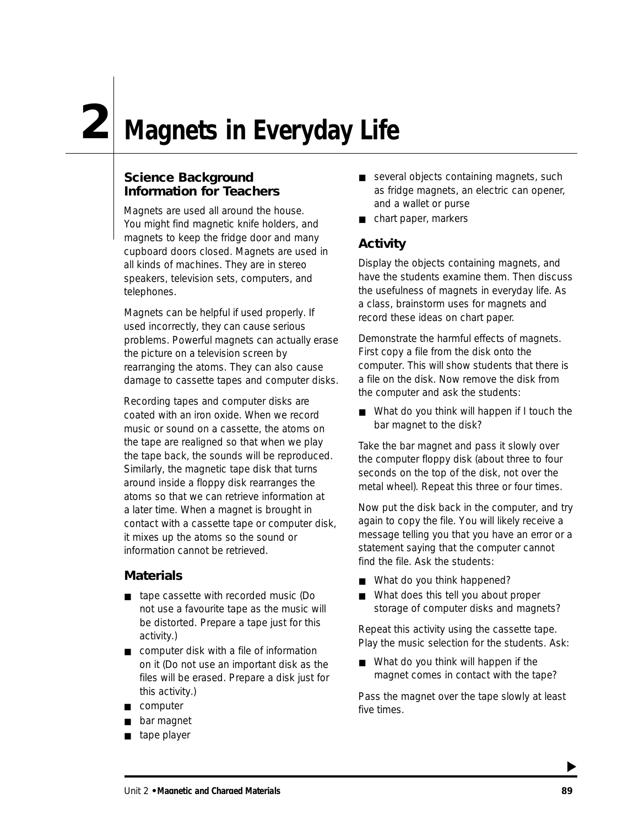## **Magnets in Everyday Life 2**

### **Science Background Information for Teachers**

Magnets are used all around the house. You might find magnetic knife holders, and magnets to keep the fridge door and many cupboard doors closed. Magnets are used in all kinds of machines. They are in stereo speakers, television sets, computers, and telephones.

Magnets can be helpful if used properly. If used incorrectly, they can cause serious problems. Powerful magnets can actually erase the picture on a television screen by rearranging the atoms. They can also cause damage to cassette tapes and computer disks.

Recording tapes and computer disks are coated with an iron oxide. When we record music or sound on a cassette, the atoms on the tape are realigned so that when we play the tape back, the sounds will be reproduced. Similarly, the magnetic tape disk that turns around inside a floppy disk rearranges the atoms so that we can retrieve information at a later time. When a magnet is brought in contact with a cassette tape or computer disk, it mixes up the atoms so the sound or information cannot be retrieved.

### **Materials**

- tape cassette with recorded music (Do not use a favourite tape as the music will be distorted. Prepare a tape just for this activity.)
- computer disk with a file of information on it (Do not use an important disk as the files will be erased. Prepare a disk just for this activity.)
- computer
- bar magnet
- tape player
- several objects containing magnets, such as fridge magnets, an electric can opener, and a wallet or purse
- chart paper, markers

### **Activity**

Display the objects containing magnets, and have the students examine them. Then discuss the usefulness of magnets in everyday life. As a class, brainstorm uses for magnets and record these ideas on chart paper.

Demonstrate the harmful effects of magnets. First copy a file from the disk onto the computer. This will show students that there is a file on the disk. Now remove the disk from the computer and ask the students:

■ What do you think will happen if I touch the bar magnet to the disk?

Take the bar magnet and pass it slowly over the computer floppy disk (about three to four seconds on the top of the disk, not over the metal wheel). Repeat this three or four times.

Now put the disk back in the computer, and try again to copy the file. You will likely receive a message telling you that you have an error or a statement saying that the computer cannot find the file. Ask the students:

- What do you think happened?
- What does this tell you about proper storage of computer disks and magnets?

Repeat this activity using the cassette tape. Play the music selection for the students. Ask:

■ What do you think will happen if the magnet comes in contact with the tape?

Pass the magnet over the tape slowly at least five times.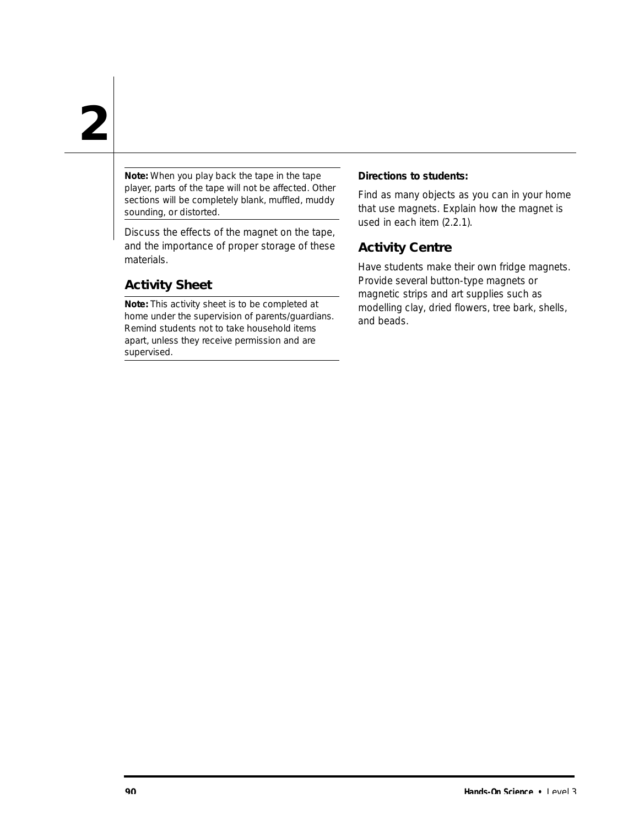Note: When you play back the tape in the tape player, parts of the tape will not be affected. Other sections will be completely blank, muffled, muddy sounding, or distorted.

Discuss the effects of the magnet on the tape, and the importance of proper storage of these materials.

### **Activity Sheet**

**Note:** This activity sheet is to be completed at home under the supervision of parents/guardians. Remind students not to take household items apart, unless they receive permission and are supervised.

#### **Directions to students:**

Find as many objects as you can in your home that use magnets. Explain how the magnet is used in each item (2.2.1).

### **Activity Centre**

Have students make their own fridge magnets. Provide several button-type magnets or magnetic strips and art supplies such as modelling clay, dried flowers, tree bark, shells, and beads.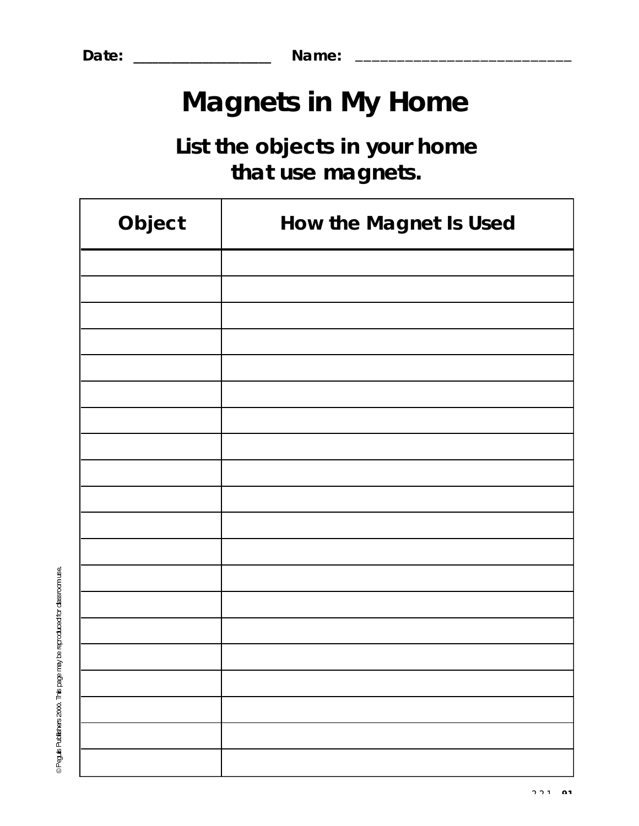**Date: \_\_\_\_\_\_\_\_\_\_\_\_\_\_\_\_\_\_\_\_\_\_ Name:** \_\_\_\_\_\_\_\_\_\_\_\_\_\_\_\_\_\_\_\_\_\_\_\_\_\_

## **Magnets in My Home**

## **List the objects in your home**  that use magnets.

| Object | How the Magnet Is Used |  |  |
|--------|------------------------|--|--|
|        |                        |  |  |
|        |                        |  |  |
|        |                        |  |  |
|        |                        |  |  |
|        |                        |  |  |
|        |                        |  |  |
|        |                        |  |  |
|        |                        |  |  |
|        |                        |  |  |
|        |                        |  |  |
|        |                        |  |  |
|        |                        |  |  |
|        |                        |  |  |
|        |                        |  |  |
|        |                        |  |  |
|        |                        |  |  |
|        |                        |  |  |
|        |                        |  |  |
|        |                        |  |  |
|        |                        |  |  |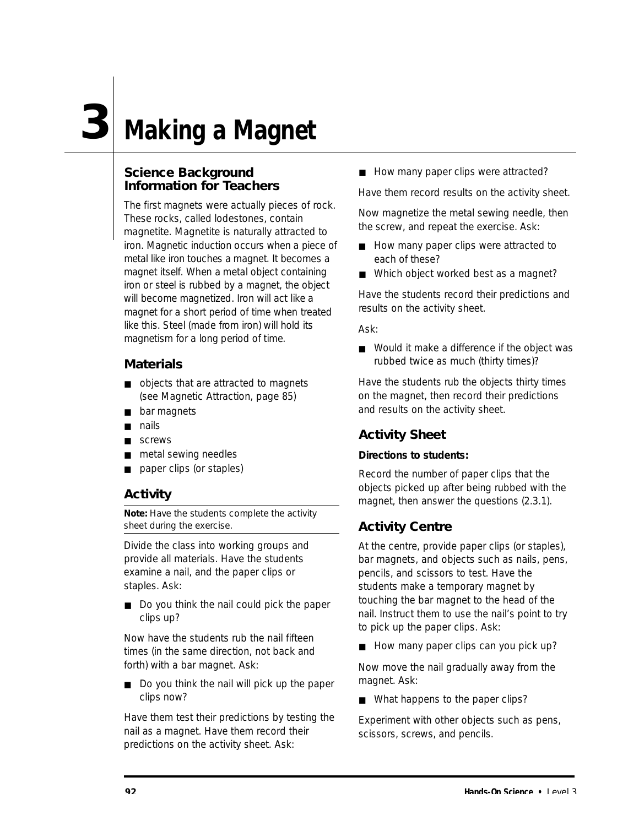# **3 Making a Magnet**

### **Science Background Information for Teachers**

The first magnets were actually pieces of rock. These rocks, called lodestones, contain magnetite. Magnetite is naturally attracted to iron. Magnetic induction occurs when a piece of metal like iron touches a magnet. It becomes a magnet itself. When a metal object containing iron or steel is rubbed by a magnet, the object will become magnetized. Iron will act like a magnet for a short period of time when treated like this. Steel (made from iron) will hold its magnetism for a long period of time.

### **Materials**

- objects that are attracted to magnets (see Magnetic Attraction, page 85)
- bar magnets
- nails
- screws
- metal sewing needles
- paper clips (or staples)

### **Activity**

**Note:** Have the students complete the activity sheet during the exercise.

Divide the class into working groups and provide all materials. Have the students examine a nail, and the paper clips or staples. Ask:

■ Do you think the nail could pick the paper clips up?

Now have the students rub the nail fifteen times (in the same direction, not back and forth) with a bar magnet. Ask:

■ Do you think the nail will pick up the paper clips now?

Have them test their predictions by testing the nail as a magnet. Have them record their predictions on the activity sheet. Ask:

■ How many paper clips were attracted?

Have them record results on the activity sheet.

Now magnetize the metal sewing needle, then the screw, and repeat the exercise. Ask:

- How many paper clips were attracted to each of these?
- Which object worked best as a magnet?

Have the students record their predictions and results on the activity sheet.

Ask:

■ Would it make a difference if the object was rubbed twice as much (thirty times)?

Have the students rub the objects thirty times on the magnet, then record their predictions and results on the activity sheet.

### **Activity Sheet**

### **Directions to students:**

Record the number of paper clips that the objects picked up after being rubbed with the magnet, then answer the questions (2.3.1).

### **Activity Centre**

At the centre, provide paper clips (or staples), bar magnets, and objects such as nails, pens, pencils, and scissors to test. Have the students make a temporary magnet by touching the bar magnet to the head of the nail. Instruct them to use the nail's point to try to pick up the paper clips. Ask:

■ How many paper clips can you pick up?

Now move the nail gradually away from the magnet. Ask:

■ What happens to the paper clips?

Experiment with other objects such as pens, scissors, screws, and pencils.